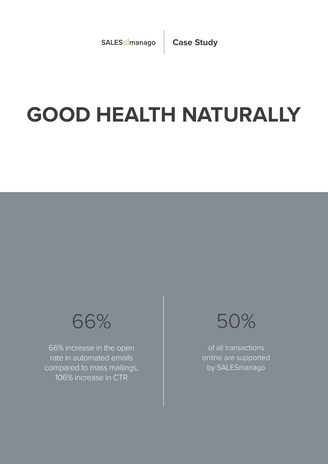# **GOOD HEALTH NATURALLY**



66% increase in the open rate in automated emails compared to mass mailings, 106% increase in CTR



of all transactions online are supported by SALESmanago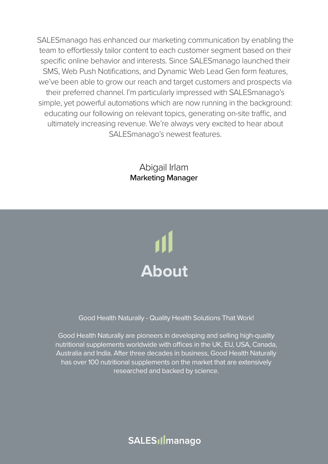SALESmanago has enhanced our marketing communication by enabling the team to effortlessly tailor content to each customer segment based on their specific online behavior and interests. Since SALESmanago launched their SMS, Web Push Notifications, and Dynamic Web Lead Gen form features, we've been able to grow our reach and target customers and prospects via their preferred channel. I'm particularly impressed with SALESmanago's simple, yet powerful automations which are now running in the background: educating our following on relevant topics, generating on-site traffic, and ultimately increasing revenue. We're always very excited to hear about SALESmanago's newest features.

### Abigail Irlam Marketing Manager



Good Health Naturally - Quality Health Solutions That Work!

Good Health Naturally are pioneers in developing and selling high-quality nutritional supplements worldwide with offices in the UK, EU, USA, Canada, Australia and India. After three decades in business, Good Health Naturally has over 100 nutritional supplements on the market that are extensively researched and backed by science.

SALES<sub>I</sub>Imanago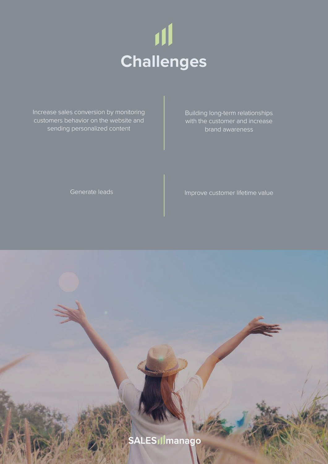

Increase sales conversion by monitoring customers behavior on the website and sending personalized content

Building long-term relationships with the customer and increase brand awareness

Generate leads

#### Improve customer lifetime value

SALES Ilmanago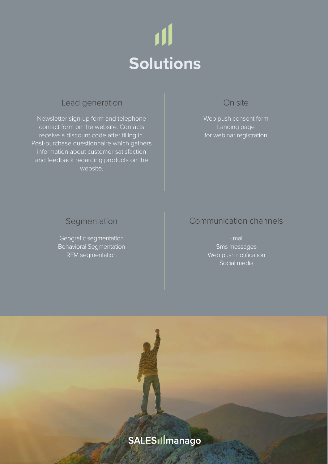

### Lead generation

Newsletter sign-up form and telephone contact form on the website. Contacts receive a discount code after filling in. Post-purchase questionnaire which gathers information about customer satisfaction and feedback regarding products on the website.

#### On site

Web push consent form Landing page for webinar registration

#### **Segmentation**

Geografic segmentation Behavioral Segmentation RFM segmentation

#### Communication channels

Email Sms messages Web push notification Social media

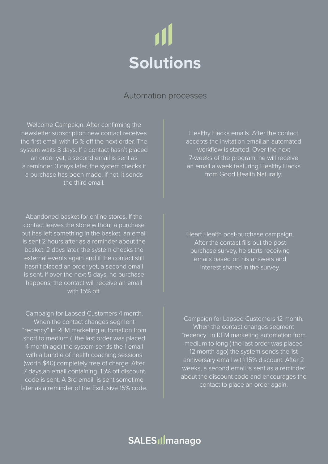# 川 **Solutions**

#### Automation processes

Welcome Campaign. After confirming the newsletter subscription new contact receives the first email with 15 % off the next order. The system waits 3 days. If a contact hasn't placed an order yet, a second email is sent as a reminder. 3 days later, the system checks if a purchase has been made. If not, it sends the third email.

Abandoned basket for online stores. If the contact leaves the store without a purchase but has left something in the basket, an email is sent 2 hours after as a reminder about the basket. 2 days later, the system checks the external events again and if the contact still hasn't placed an order yet, a second email is sent. If over the next 5 days, no purchase happens, the contact will receive an email with 15% off.

Campaign for Lapsed Customers 4 month. When the contact changes segment "recency" in RFM marketing automation from short to medium ( the last order was placed 4 month ago) the system sends the 1 email with a bundle of health coaching sessions (worth \$40) completely free of charge. After 7 days,an email containing 15% off discount code is sent. A 3rd email is sent sometime later as a reminder of the Exclusive 15% code.

Healthy Hacks emails. After the contact accepts the invitation email,an automated workflow is started. Over the next 7-weeks of the program, he will receive an email a week featuring Healthy Hacks from Good Health Naturally.

Heart Health post-purchase campaign. After the contact fills out the post purchase survey, he starts receiving emails based on his answers and interest shared in the survey.

Campaign for Lapsed Customers 12 month. When the contact changes segment "recency" in RFM marketing automation from medium to long ( the last order was placed 12 month ago) the system sends the 1st anniversary email with 15% discount. After 2 weeks, a second email is sent as a reminder about the discount code and encourages the contact to place an order again.

### SALES<sub>I</sub>Imanago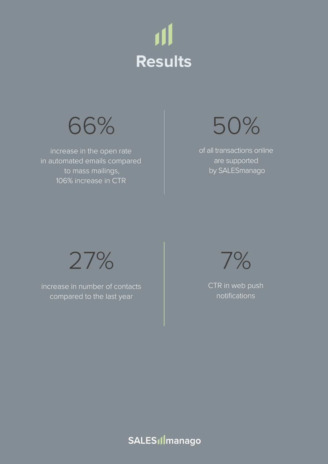



increase in the open rate in automated emails compared to mass mailings, 106% increase in CTR



of all transactions online are supported by SALESmanago



increase in number of contacts compared to the last year

7%

CTR in web push notifications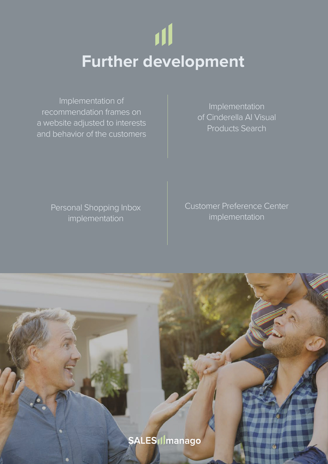# **Further development**

Implementation of recommendation frames on a website adjusted to interests and behavior of the customers

Implementation of Cinderella AI Visual Products Search

Personal Shopping Inbox implementation

Customer Preference Center implementation

**SALES Ilmanago**